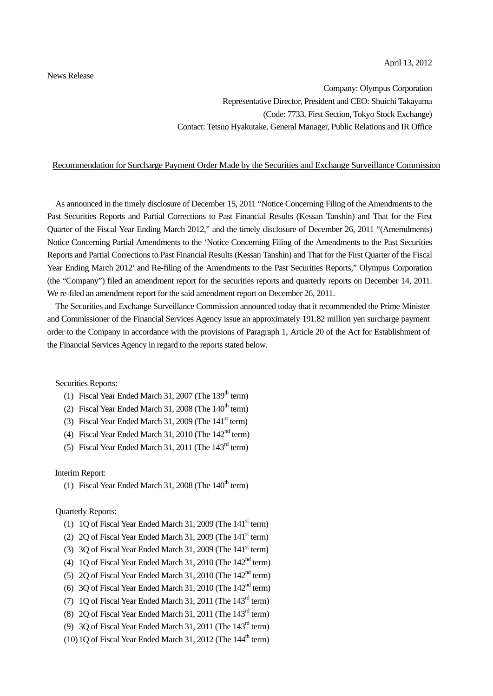## News Release

Company: Olympus Corporation Representative Director, President and CEO: Shuichi Takayama (Code: 7733, First Section, Tokyo Stock Exchange) Contact: Tetsuo Hyakutake, General Manager, Public Relations and IR Office

## Recommendation for Surcharge Payment Order Made by the Securities and Exchange Surveillance Commission

As announced in the timely disclosure of December 15, 2011 "Notice Concerning Filing of the Amendments to the Past Securities Reports and Partial Corrections to Past Financial Results (Kessan Tanshin) and That for the First Quarter of the Fiscal Year Ending March 2012," and the timely disclosure of December 26, 2011 "(Amemdments) Notice Concerning Partial Amendments to the 'Notice Concerning Filing of the Amendments to the Past Securities Reports and Partial Corrections to Past Financial Results (Kessan Tanshin) and That for the First Quarter of the Fiscal Year Ending March 2012' and Re-filing of the Amendments to the Past Securities Reports," Olympus Corporation (the "Company") filed an amendment report for the securities reports and quarterly reports on December 14, 2011. We re-filed an amendment report for the said amendment report on December 26, 2011.

The Securities and Exchange Surveillance Commission announced today that it recommended the Prime Minister and Commissioner of the Financial Services Agency issue an approximately 191.82 million yen surcharge payment order to the Company in accordance with the provisions of Paragraph 1, Article 20 of the Act for Establishment of the Financial Services Agency in regard to the reports stated below.

Securities Reports:

- (1) Fiscal Year Ended March 31, 2007 (The  $139<sup>th</sup>$  term)
- (2) Fiscal Year Ended March 31, 2008 (The  $140<sup>th</sup>$  term)
- (3) Fiscal Year Ended March 31, 2009 (The  $141<sup>st</sup>$  term)
- (4) Fiscal Year Ended March 31, 2010 (The  $142<sup>nd</sup>$  term)
- (5) Fiscal Year Ended March 31, 2011 (The  $143<sup>rd</sup>$  term)

## Interim Report:

(1) Fiscal Year Ended March 31, 2008 (The  $140<sup>th</sup>$  term)

## Quarterly Reports:

- (1) 1Q of Fiscal Year Ended March 31, 2009 (The  $141<sup>st</sup>$  term)
- (2) 2Q of Fiscal Year Ended March 31, 2009 (The  $141<sup>st</sup>$  term)
- (3) 3O of Fiscal Year Ended March 31, 2009 (The  $141<sup>st</sup>$  term)
- (4) 1Q of Fiscal Year Ended March 31, 2010 (The  $142<sup>nd</sup>$  term)
- (5) 2O of Fiscal Year Ended March 31, 2010 (The  $142<sup>nd</sup>$  term)
- (6) 3Q of Fiscal Year Ended March 31, 2010 (The  $142<sup>nd</sup>$  term)
- (7) 1Q of Fiscal Year Ended March 31, 2011 (The 143rd term)
- (8) 2Q of Fiscal Year Ended March 31, 2011 (The 143rd term)
- (9) 3Q of Fiscal Year Ended March 31, 2011 (The 143rd term)
- $(10)$  1O of Fiscal Year Ended March 31, 2012 (The  $144<sup>th</sup>$  term)